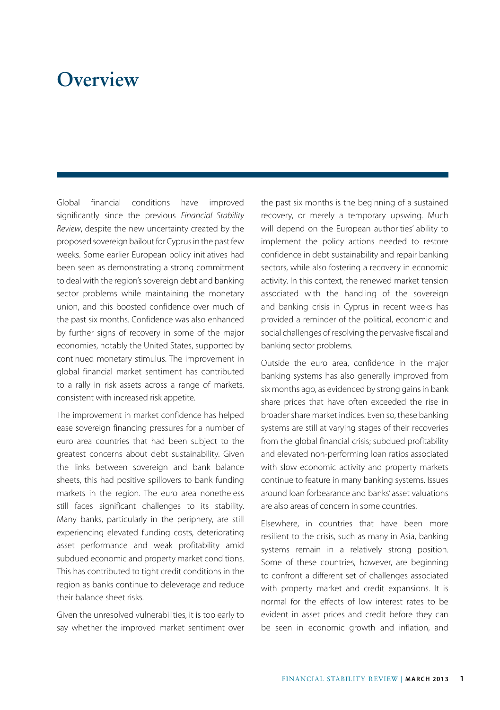## **Overview**

Global financial conditions have improved significantly since the previous *Financial Stability Review*, despite the new uncertainty created by the proposed sovereign bailout for Cyprus in the past few weeks. Some earlier European policy initiatives had been seen as demonstrating a strong commitment to deal with the region's sovereign debt and banking sector problems while maintaining the monetary union, and this boosted confidence over much of the past six months. Confidence was also enhanced by further signs of recovery in some of the major economies, notably the United States, supported by continued monetary stimulus. The improvement in global financial market sentiment has contributed to a rally in risk assets across a range of markets, consistent with increased risk appetite.

The improvement in market confidence has helped ease sovereign financing pressures for a number of euro area countries that had been subject to the greatest concerns about debt sustainability. Given the links between sovereign and bank balance sheets, this had positive spillovers to bank funding markets in the region. The euro area nonetheless still faces significant challenges to its stability. Many banks, particularly in the periphery, are still experiencing elevated funding costs, deteriorating asset performance and weak profitability amid subdued economic and property market conditions. This has contributed to tight credit conditions in the region as banks continue to deleverage and reduce their balance sheet risks.

Given the unresolved vulnerabilities, it is too early to say whether the improved market sentiment over the past six months is the beginning of a sustained recovery, or merely a temporary upswing. Much will depend on the European authorities' ability to implement the policy actions needed to restore confidence in debt sustainability and repair banking sectors, while also fostering a recovery in economic activity. In this context, the renewed market tension associated with the handling of the sovereign and banking crisis in Cyprus in recent weeks has provided a reminder of the political, economic and social challenges of resolving the pervasive fiscal and banking sector problems.

Outside the euro area, confidence in the major banking systems has also generally improved from six months ago, as evidenced by strong gains in bank share prices that have often exceeded the rise in broader share market indices. Even so, these banking systems are still at varying stages of their recoveries from the global financial crisis; subdued profitability and elevated non-performing loan ratios associated with slow economic activity and property markets continue to feature in many banking systems. Issues around loan forbearance and banks' asset valuations are also areas of concern in some countries.

Elsewhere, in countries that have been more resilient to the crisis, such as many in Asia, banking systems remain in a relatively strong position. Some of these countries, however, are beginning to confront a different set of challenges associated with property market and credit expansions. It is normal for the effects of low interest rates to be evident in asset prices and credit before they can be seen in economic growth and inflation, and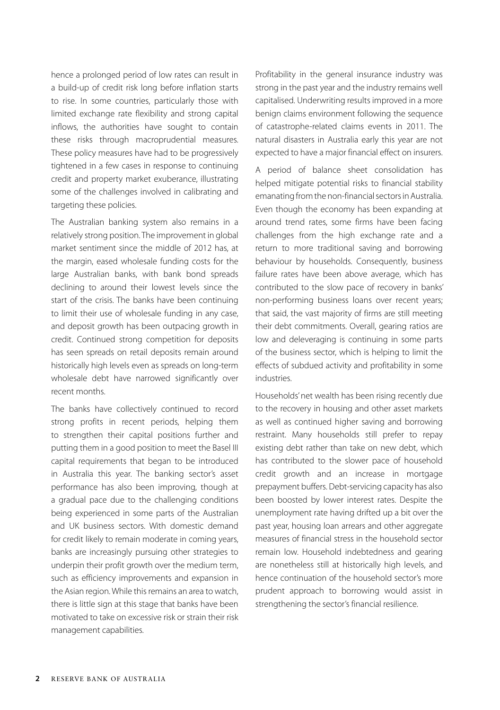hence a prolonged period of low rates can result in a build-up of credit risk long before inflation starts to rise. In some countries, particularly those with limited exchange rate flexibility and strong capital inflows, the authorities have sought to contain these risks through macroprudential measures. These policy measures have had to be progressively tightened in a few cases in response to continuing credit and property market exuberance, illustrating some of the challenges involved in calibrating and targeting these policies.

The Australian banking system also remains in a relatively strong position. The improvement in global market sentiment since the middle of 2012 has, at the margin, eased wholesale funding costs for the large Australian banks, with bank bond spreads declining to around their lowest levels since the start of the crisis. The banks have been continuing to limit their use of wholesale funding in any case, and deposit growth has been outpacing growth in credit. Continued strong competition for deposits has seen spreads on retail deposits remain around historically high levels even as spreads on long-term wholesale debt have narrowed significantly over recent months.

The banks have collectively continued to record strong profits in recent periods, helping them to strengthen their capital positions further and putting them in a good position to meet the Basel III capital requirements that began to be introduced in Australia this year. The banking sector's asset performance has also been improving, though at a gradual pace due to the challenging conditions being experienced in some parts of the Australian and UK business sectors. With domestic demand for credit likely to remain moderate in coming years, banks are increasingly pursuing other strategies to underpin their profit growth over the medium term, such as efficiency improvements and expansion in the Asian region. While this remains an area to watch, there is little sign at this stage that banks have been motivated to take on excessive risk or strain their risk management capabilities.

Profitability in the general insurance industry was strong in the past year and the industry remains well capitalised. Underwriting results improved in a more benign claims environment following the sequence of catastrophe-related claims events in 2011. The natural disasters in Australia early this year are not expected to have a major financial effect on insurers.

A period of balance sheet consolidation has helped mitigate potential risks to financial stability emanating from the non-financial sectors in Australia. Even though the economy has been expanding at around trend rates, some firms have been facing challenges from the high exchange rate and a return to more traditional saving and borrowing behaviour by households. Consequently, business failure rates have been above average, which has contributed to the slow pace of recovery in banks' non-performing business loans over recent years; that said, the vast majority of firms are still meeting their debt commitments. Overall, gearing ratios are low and deleveraging is continuing in some parts of the business sector, which is helping to limit the effects of subdued activity and profitability in some industries.

Households' net wealth has been rising recently due to the recovery in housing and other asset markets as well as continued higher saving and borrowing restraint. Many households still prefer to repay existing debt rather than take on new debt, which has contributed to the slower pace of household credit growth and an increase in mortgage prepayment buffers. Debt-servicing capacity has also been boosted by lower interest rates. Despite the unemployment rate having drifted up a bit over the past year, housing loan arrears and other aggregate measures of financial stress in the household sector remain low. Household indebtedness and gearing are nonetheless still at historically high levels, and hence continuation of the household sector's more prudent approach to borrowing would assist in strengthening the sector's financial resilience.